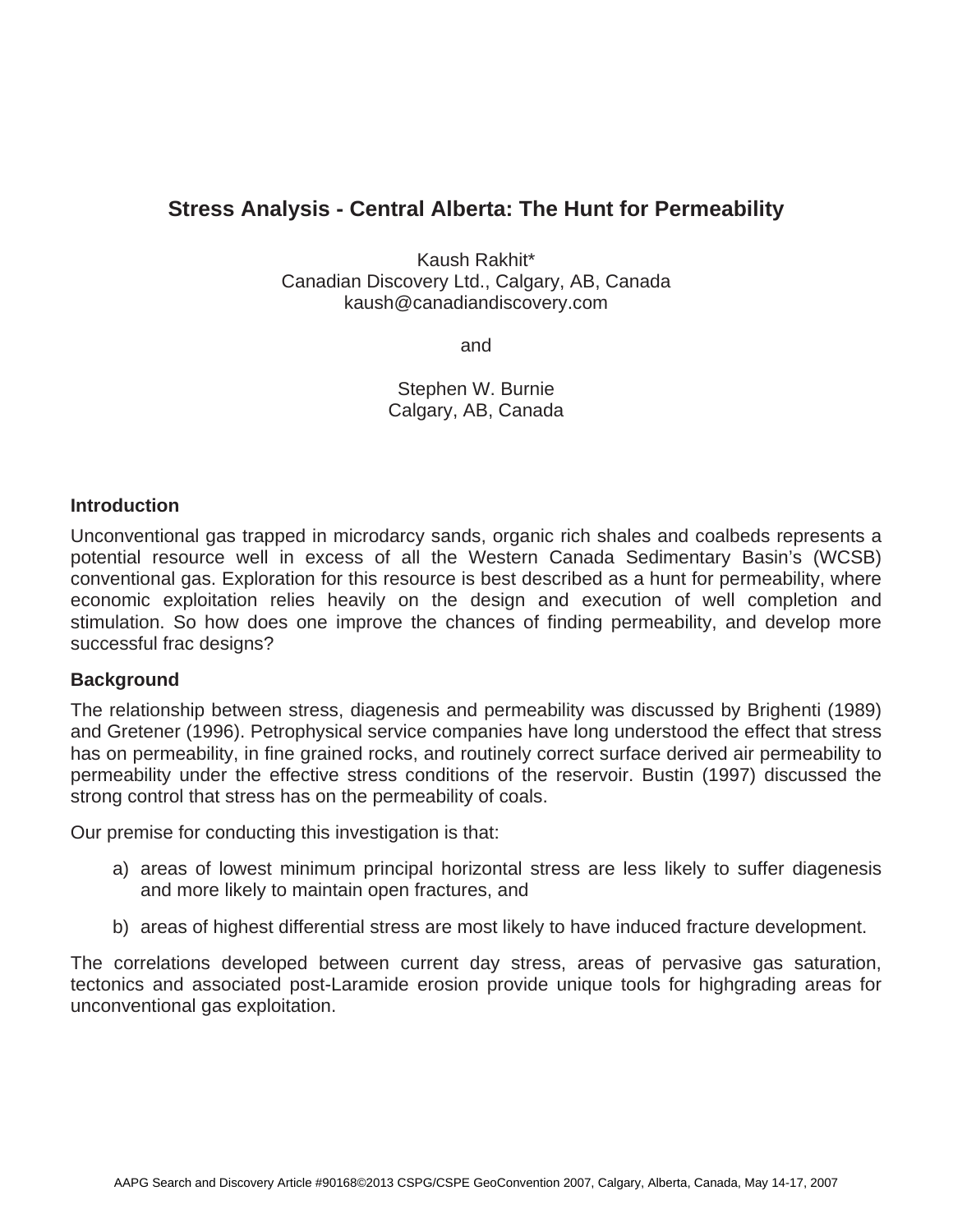## **Stress Analysis - Central Alberta: The Hunt for Permeability**

Kaush Rakhit\* Canadian Discovery Ltd., Calgary, AB, Canada kaush@canadiandiscovery.com

and

Stephen W. Burnie Calgary, AB, Canada

## **Introduction**

Unconventional gas trapped in microdarcy sands, organic rich shales and coalbeds represents a potential resource well in excess of all the Western Canada Sedimentary Basin's (WCSB) conventional gas. Exploration for this resource is best described as a hunt for permeability, where economic exploitation relies heavily on the design and execution of well completion and stimulation. So how does one improve the chances of finding permeability, and develop more successful frac designs?

## **Background**

The relationship between stress, diagenesis and permeability was discussed by Brighenti (1989) and Gretener (1996). Petrophysical service companies have long understood the effect that stress has on permeability, in fine grained rocks, and routinely correct surface derived air permeability to permeability under the effective stress conditions of the reservoir. Bustin (1997) discussed the strong control that stress has on the permeability of coals.

Our premise for conducting this investigation is that:

- a) areas of lowest minimum principal horizontal stress are less likely to suffer diagenesis and more likely to maintain open fractures, and
- b) areas of highest differential stress are most likely to have induced fracture development.

The correlations developed between current day stress, areas of pervasive gas saturation, tectonics and associated post-Laramide erosion provide unique tools for highgrading areas for unconventional gas exploitation.